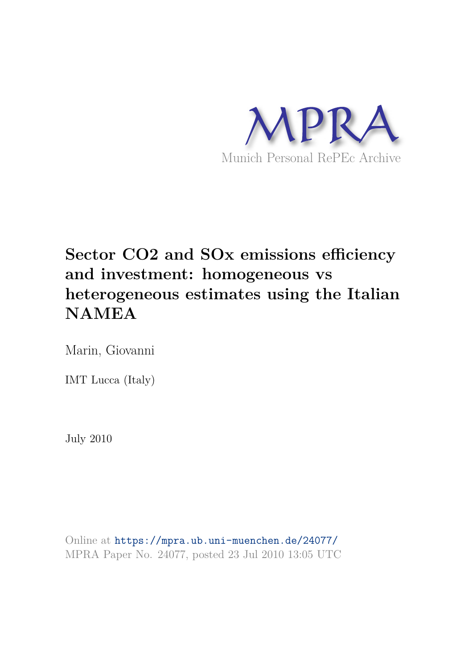

# **Sector CO2 and SOx emissions efficiency and investment: homogeneous vs heterogeneous estimates using the Italian NAMEA**

Marin, Giovanni

IMT Lucca (Italy)

July 2010

Online at https://mpra.ub.uni-muenchen.de/24077/ MPRA Paper No. 24077, posted 23 Jul 2010 13:05 UTC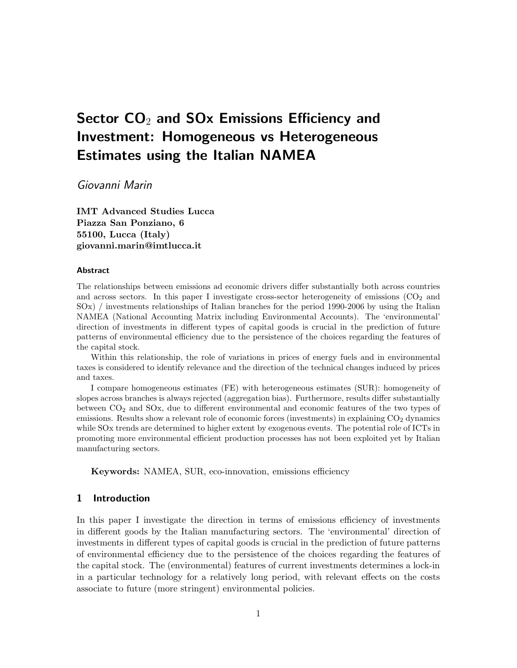## Sector  $CO<sub>2</sub>$  and SOx Emissions Efficiency and Investment: Homogeneous vs Heterogeneous Estimates using the Italian NAMEA

Giovanni Marin

IMT Advanced Studies Lucca Piazza San Ponziano, 6 55100, Lucca (Italy) giovanni.marin@imtlucca.it

#### Abstract

The relationships between emissions ad economic drivers differ substantially both across countries and across sectors. In this paper I investigate cross-sector heterogeneity of emissions  $(CO<sub>2</sub>$  and SOx) / investments relationships of Italian branches for the period 1990-2006 by using the Italian NAMEA (National Accounting Matrix including Environmental Accounts). The 'environmental' direction of investments in different types of capital goods is crucial in the prediction of future patterns of environmental efficiency due to the persistence of the choices regarding the features of the capital stock.

Within this relationship, the role of variations in prices of energy fuels and in environmental taxes is considered to identify relevance and the direction of the technical changes induced by prices and taxes.

I compare homogeneous estimates (FE) with heterogeneous estimates (SUR): homogeneity of slopes across branches is always rejected (aggregation bias). Furthermore, results differ substantially between CO<sup>2</sup> and SOx, due to different environmental and economic features of the two types of emissions. Results show a relevant role of economic forces (investments) in explaining  $CO<sub>2</sub>$  dynamics while SOx trends are determined to higher extent by exogenous events. The potential role of ICTs in promoting more environmental efficient production processes has not been exploited yet by Italian manufacturing sectors.

Keywords: NAMEA, SUR, eco-innovation, emissions efficiency

#### 1 Introduction

In this paper I investigate the direction in terms of emissions efficiency of investments in different goods by the Italian manufacturing sectors. The 'environmental' direction of investments in different types of capital goods is crucial in the prediction of future patterns of environmental efficiency due to the persistence of the choices regarding the features of the capital stock. The (environmental) features of current investments determines a lock-in in a particular technology for a relatively long period, with relevant effects on the costs associate to future (more stringent) environmental policies.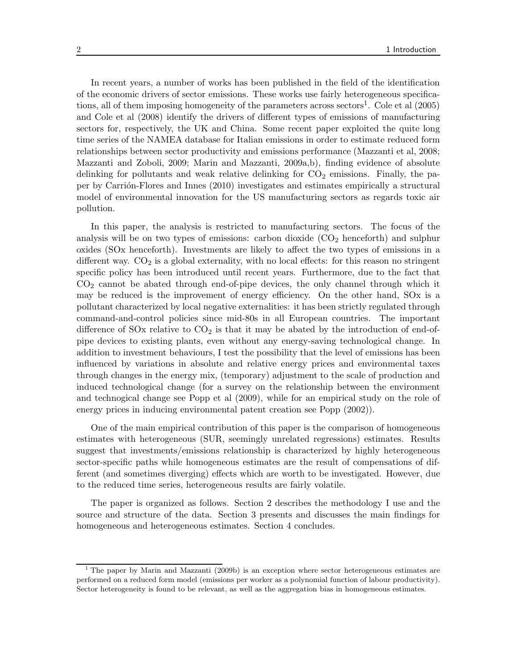In recent years, a number of works has been published in the field of the identification of the economic drivers of sector emissions. These works use fairly heterogeneous specifications, all of them imposing homogeneity of the parameters across sectors<sup>1</sup>. Cole et al  $(2005)$ and Cole et al (2008) identify the drivers of different types of emissions of manufacturing sectors for, respectively, the UK and China. Some recent paper exploited the quite long time series of the NAMEA database for Italian emissions in order to estimate reduced form relationships between sector productivity and emissions performance (Mazzanti et al, 2008; Mazzanti and Zoboli, 2009; Marin and Mazzanti, 2009a,b), finding evidence of absolute delinking for pollutants and weak relative delinking for  $CO<sub>2</sub>$  emissions. Finally, the paper by Carrión-Flores and Innes (2010) investigates and estimates empirically a structural model of environmental innovation for the US manufacturing sectors as regards toxic air pollution.

In this paper, the analysis is restricted to manufacturing sectors. The focus of the analysis will be on two types of emissions: carbon dioxide  $(CO<sub>2</sub>$  henceforth) and sulphur oxides (SOx henceforth). Investments are likely to affect the two types of emissions in a different way.  $CO<sub>2</sub>$  is a global externality, with no local effects: for this reason no stringent specific policy has been introduced until recent years. Furthermore, due to the fact that  $CO<sub>2</sub>$  cannot be abated through end-of-pipe devices, the only channel through which it may be reduced is the improvement of energy efficiency. On the other hand, SOx is a pollutant characterized by local negative externalities: it has been strictly regulated through command-and-control policies since mid-80s in all European countries. The important difference of SOx relative to  $CO<sub>2</sub>$  is that it may be abated by the introduction of end-ofpipe devices to existing plants, even without any energy-saving technological change. In addition to investment behaviours, I test the possibility that the level of emissions has been influenced by variations in absolute and relative energy prices and environmental taxes through changes in the energy mix, (temporary) adjustment to the scale of production and induced technological change (for a survey on the relationship between the environment and technogical change see Popp et al (2009), while for an empirical study on the role of energy prices in inducing environmental patent creation see Popp (2002)).

One of the main empirical contribution of this paper is the comparison of homogeneous estimates with heterogeneous (SUR, seemingly unrelated regressions) estimates. Results suggest that investments/emissions relationship is characterized by highly heterogeneous sector-specific paths while homogeneous estimates are the result of compensations of different (and sometimes diverging) effects which are worth to be investigated. However, due to the reduced time series, heterogeneous results are fairly volatile.

The paper is organized as follows. Section 2 describes the methodology I use and the source and structure of the data. Section 3 presents and discusses the main findings for homogeneous and heterogeneous estimates. Section 4 concludes.

<sup>&</sup>lt;sup>1</sup> The paper by Marin and Mazzanti (2009b) is an exception where sector heterogeneous estimates are performed on a reduced form model (emissions per worker as a polynomial function of labour productivity). Sector heterogeneity is found to be relevant, as well as the aggregation bias in homogeneous estimates.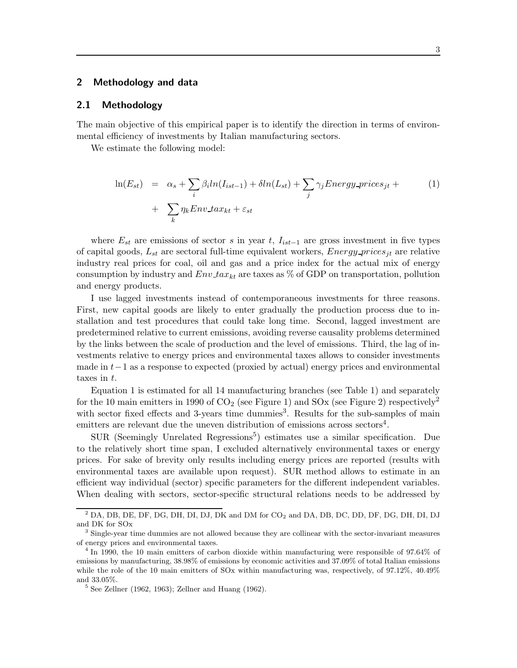#### 2 Methodology and data

#### 2.1 Methodology

The main objective of this empirical paper is to identify the direction in terms of environmental efficiency of investments by Italian manufacturing sectors.

We estimate the following model:

$$
\ln(E_{st}) = \alpha_s + \sum_i \beta_i \ln(I_{ist-1}) + \delta \ln(L_{st}) + \sum_j \gamma_j Energy\_prices_{jt} + \sum_k \eta_k Env\_tax_{kt} + \varepsilon_{st}
$$
 (1)

where  $E_{st}$  are emissions of sector s in year t,  $I_{ist-1}$  are gross investment in five types of capital goods,  $L_{st}$  are sectoral full-time equivalent workers, Energy-prices<sub>it</sub> are relative industry real prices for coal, oil and gas and a price index for the actual mix of energy consumption by industry and  $Env\_tax_{kt}$  are taxes as % of GDP on transportation, pollution and energy products.

I use lagged investments instead of contemporaneous investments for three reasons. First, new capital goods are likely to enter gradually the production process due to installation and test procedures that could take long time. Second, lagged investment are predetermined relative to current emissions, avoiding reverse causality problems determined by the links between the scale of production and the level of emissions. Third, the lag of investments relative to energy prices and environmental taxes allows to consider investments made in t−1 as a response to expected (proxied by actual) energy prices and environmental taxes in t.

Equation 1 is estimated for all 14 manufacturing branches (see Table 1) and separately for the 10 main emitters in 1990 of  $CO<sub>2</sub>$  (see Figure 1) and SOx (see Figure 2) respectively<sup>2</sup> with sector fixed effects and 3-years time dummies<sup>3</sup>. Results for the sub-samples of main emitters are relevant due the uneven distribution of emissions across sectors<sup>4</sup>.

SUR (Seemingly Unrelated Regressions<sup>5</sup>) estimates use a similar specification. Due to the relatively short time span, I excluded alternatively environmental taxes or energy prices. For sake of brevity only results including energy prices are reported (results with environmental taxes are available upon request). SUR method allows to estimate in an efficient way individual (sector) specific parameters for the different independent variables. When dealing with sectors, sector-specific structural relations needs to be addressed by

 $^{2}$  DA, DB, DE, DF, DG, DH, DI, DJ, DK and DM for  $CO_{2}$  and DA, DB, DC, DD, DF, DG, DH, DI, DJ and DK for SOx

<sup>&</sup>lt;sup>3</sup> Single-year time dummies are not allowed because they are collinear with the sector-invariant measures of energy prices and environmental taxes.

<sup>&</sup>lt;sup>4</sup> In 1990, the 10 main emitters of carbon dioxide within manufacturing were responsible of 97.64% of emissions by manufacturing, 38.98% of emissions by economic activities and 37.09% of total Italian emissions while the role of the 10 main emitters of SOx within manufacturing was, respectively, of 97.12%, 40.49% and 33.05%.

<sup>5</sup> See Zellner (1962, 1963); Zellner and Huang (1962).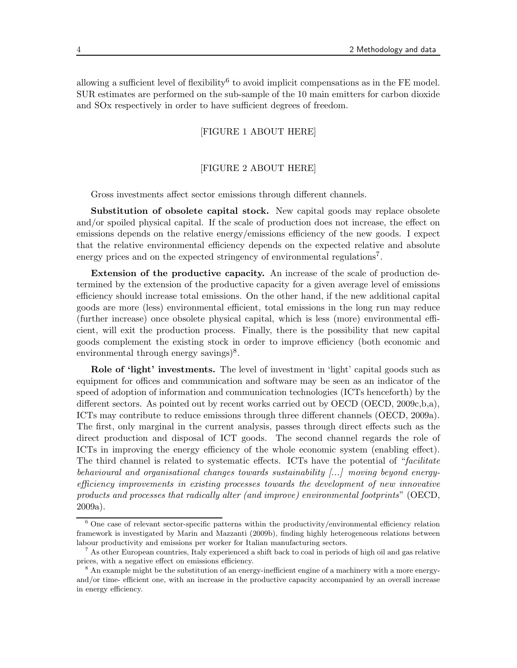allowing a sufficient level of flexibility<sup>6</sup> to avoid implicit compensations as in the FE model. SUR estimates are performed on the sub-sample of the 10 main emitters for carbon dioxide and SOx respectively in order to have sufficient degrees of freedom.

#### [FIGURE 1 ABOUT HERE]

#### [FIGURE 2 ABOUT HERE]

Gross investments affect sector emissions through different channels.

Substitution of obsolete capital stock. New capital goods may replace obsolete and/or spoiled physical capital. If the scale of production does not increase, the effect on emissions depends on the relative energy/emissions efficiency of the new goods. I expect that the relative environmental efficiency depends on the expected relative and absolute energy prices and on the expected stringency of environmental regulations<sup>7</sup>.

Extension of the productive capacity. An increase of the scale of production determined by the extension of the productive capacity for a given average level of emissions efficiency should increase total emissions. On the other hand, if the new additional capital goods are more (less) environmental efficient, total emissions in the long run may reduce (further increase) once obsolete physical capital, which is less (more) environmental efficient, will exit the production process. Finally, there is the possibility that new capital goods complement the existing stock in order to improve efficiency (both economic and environmental through energy savings)<sup>8</sup>.

Role of 'light' investments. The level of investment in 'light' capital goods such as equipment for offices and communication and software may be seen as an indicator of the speed of adoption of information and communication technologies (ICTs henceforth) by the different sectors. As pointed out by recent works carried out by OECD (OECD, 2009c,b,a), ICTs may contribute to reduce emissions through three different channels (OECD, 2009a). The first, only marginal in the current analysis, passes through direct effects such as the direct production and disposal of ICT goods. The second channel regards the role of ICTs in improving the energy efficiency of the whole economic system (enabling effect). The third channel is related to systematic effects. ICTs have the potential of "facilitate" behavioural and organisational changes towards sustainability [...] moving beyond energyefficiency improvements in existing processes towards the development of new innovative products and processes that radically alter (and improve) environmental footprints" (OECD, 2009a).

 $6$  One case of relevant sector-specific patterns within the productivity/environmental efficiency relation framework is investigated by Marin and Mazzanti (2009b), finding highly heterogeneous relations between labour productivity and emissions per worker for Italian manufacturing sectors.

<sup>7</sup> As other European countries, Italy experienced a shift back to coal in periods of high oil and gas relative prices, with a negative effect on emissions efficiency.

<sup>8</sup> An example might be the substitution of an energy-inefficient engine of a machinery with a more energyand/or time- efficient one, with an increase in the productive capacity accompanied by an overall increase in energy efficiency.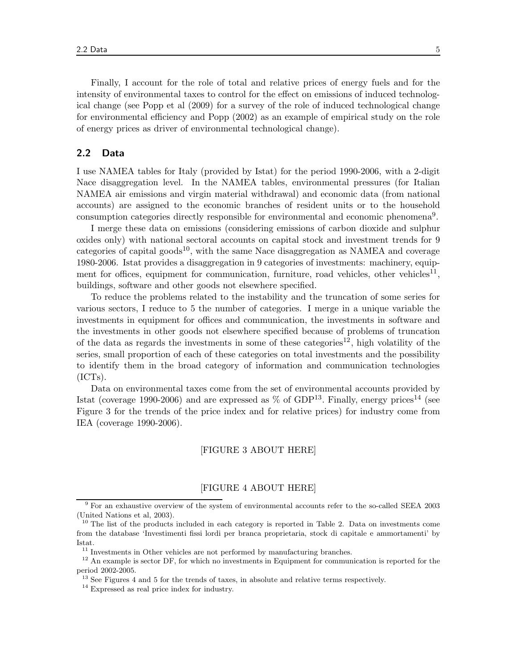Finally, I account for the role of total and relative prices of energy fuels and for the intensity of environmental taxes to control for the effect on emissions of induced technological change (see Popp et al (2009) for a survey of the role of induced technological change for environmental efficiency and Popp (2002) as an example of empirical study on the role of energy prices as driver of environmental technological change).

#### 2.2 Data

I use NAMEA tables for Italy (provided by Istat) for the period 1990-2006, with a 2-digit Nace disaggregation level. In the NAMEA tables, environmental pressures (for Italian NAMEA air emissions and virgin material withdrawal) and economic data (from national accounts) are assigned to the economic branches of resident units or to the household consumption categories directly responsible for environmental and economic phenomena<sup>9</sup>.

I merge these data on emissions (considering emissions of carbon dioxide and sulphur oxides only) with national sectoral accounts on capital stock and investment trends for 9 categories of capital goods<sup>10</sup>, with the same Nace disaggregation as NAMEA and coverage 1980-2006. Istat provides a disaggregation in 9 categories of investments: machinery, equipment for offices, equipment for communication, furniture, road vehicles, other vehicles<sup>11</sup>, buildings, software and other goods not elsewhere specified.

To reduce the problems related to the instability and the truncation of some series for various sectors, I reduce to 5 the number of categories. I merge in a unique variable the investments in equipment for offices and communication, the investments in software and the investments in other goods not elsewhere specified because of problems of truncation of the data as regards the investments in some of these categories<sup>12</sup>, high volatility of the series, small proportion of each of these categories on total investments and the possibility to identify them in the broad category of information and communication technologies  $(ICTs).$ 

Data on environmental taxes come from the set of environmental accounts provided by Istat (coverage 1990-2006) and are expressed as  $\%$  of GDP<sup>13</sup>. Finally, energy prices<sup>14</sup> (see Figure 3 for the trends of the price index and for relative prices) for industry come from IEA (coverage 1990-2006).

#### [FIGURE 3 ABOUT HERE]

#### [FIGURE 4 ABOUT HERE]

<sup>&</sup>lt;sup>9</sup> For an exhaustive overview of the system of environmental accounts refer to the so-called SEEA 2003 (United Nations et al, 2003).

 $10$  The list of the products included in each category is reported in Table 2. Data on investments come from the database 'Investimenti fissi lordi per branca proprietaria, stock di capitale e ammortamenti' by Istat.

 $11$  Investments in Other vehicles are not performed by manufacturing branches.

<sup>&</sup>lt;sup>12</sup> An example is sector DF, for which no investments in Equipment for communication is reported for the period 2002-2005.

<sup>&</sup>lt;sup>13</sup> See Figures 4 and 5 for the trends of taxes, in absolute and relative terms respectively.

<sup>14</sup> Expressed as real price index for industry.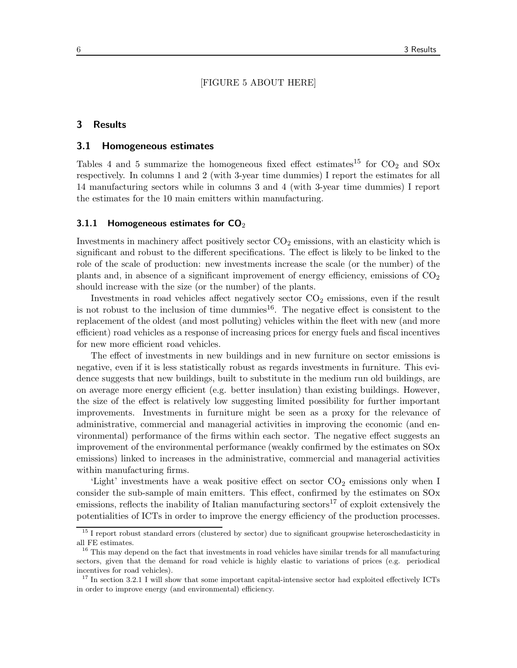#### [FIGURE 5 ABOUT HERE]

#### 3 Results

#### 3.1 Homogeneous estimates

Tables 4 and 5 summarize the homogeneous fixed effect estimates<sup>15</sup> for  $CO_2$  and  $SOX$ respectively. In columns 1 and 2 (with 3-year time dummies) I report the estimates for all 14 manufacturing sectors while in columns 3 and 4 (with 3-year time dummies) I report the estimates for the 10 main emitters within manufacturing.

#### 3.1.1 Homogeneous estimates for  $CO<sub>2</sub>$

Investments in machinery affect positively sector  $CO<sub>2</sub>$  emissions, with an elasticity which is significant and robust to the different specifications. The effect is likely to be linked to the role of the scale of production: new investments increase the scale (or the number) of the plants and, in absence of a significant improvement of energy efficiency, emissions of  $CO<sub>2</sub>$ should increase with the size (or the number) of the plants.

Investments in road vehicles affect negatively sector  $CO<sub>2</sub>$  emissions, even if the result is not robust to the inclusion of time dummies $^{16}$ . The negative effect is consistent to the replacement of the oldest (and most polluting) vehicles within the fleet with new (and more efficient) road vehicles as a response of increasing prices for energy fuels and fiscal incentives for new more efficient road vehicles.

The effect of investments in new buildings and in new furniture on sector emissions is negative, even if it is less statistically robust as regards investments in furniture. This evidence suggests that new buildings, built to substitute in the medium run old buildings, are on average more energy efficient (e.g. better insulation) than existing buildings. However, the size of the effect is relatively low suggesting limited possibility for further important improvements. Investments in furniture might be seen as a proxy for the relevance of administrative, commercial and managerial activities in improving the economic (and environmental) performance of the firms within each sector. The negative effect suggests an improvement of the environmental performance (weakly confirmed by the estimates on SOx emissions) linked to increases in the administrative, commercial and managerial activities within manufacturing firms.

'Light' investments have a weak positive effect on sector  $CO<sub>2</sub>$  emissions only when I consider the sub-sample of main emitters. This effect, confirmed by the estimates on SOx emissions, reflects the inability of Italian manufacturing sectors $17$  of exploit extensively the potentialities of ICTs in order to improve the energy efficiency of the production processes.

<sup>&</sup>lt;sup>15</sup> I report robust standard errors (clustered by sector) due to significant groupwise heteroschedasticity in all FE estimates.

<sup>&</sup>lt;sup>16</sup> This may depend on the fact that investments in road vehicles have similar trends for all manufacturing sectors, given that the demand for road vehicle is highly elastic to variations of prices (e.g. periodical incentives for road vehicles).

<sup>&</sup>lt;sup>17</sup> In section 3.2.1 I will show that some important capital-intensive sector had exploited effectively ICTs in order to improve energy (and environmental) efficiency.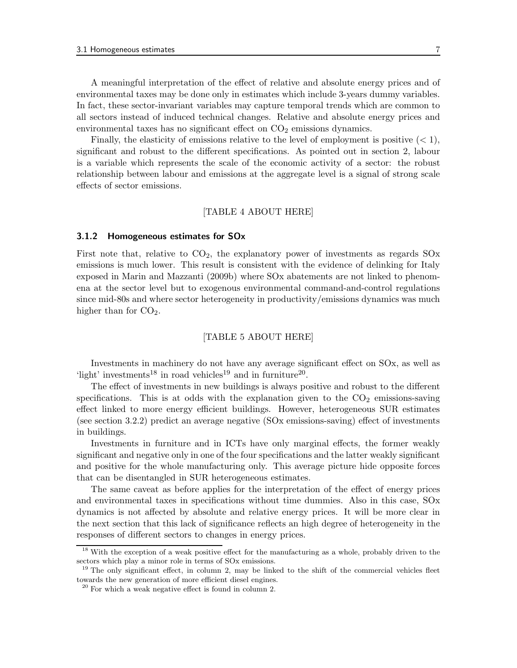A meaningful interpretation of the effect of relative and absolute energy prices and of environmental taxes may be done only in estimates which include 3-years dummy variables. In fact, these sector-invariant variables may capture temporal trends which are common to all sectors instead of induced technical changes. Relative and absolute energy prices and environmental taxes has no significant effect on  $CO<sub>2</sub>$  emissions dynamics.

Finally, the elasticity of emissions relative to the level of employment is positive  $(< 1)$ , significant and robust to the different specifications. As pointed out in section 2, labour is a variable which represents the scale of the economic activity of a sector: the robust relationship between labour and emissions at the aggregate level is a signal of strong scale effects of sector emissions.

#### [TABLE 4 ABOUT HERE]

#### 3.1.2 Homogeneous estimates for SOx

First note that, relative to  $CO<sub>2</sub>$ , the explanatory power of investments as regards  $SOX$ emissions is much lower. This result is consistent with the evidence of delinking for Italy exposed in Marin and Mazzanti (2009b) where SOx abatements are not linked to phenomena at the sector level but to exogenous environmental command-and-control regulations since mid-80s and where sector heterogeneity in productivity/emissions dynamics was much higher than for  $CO<sub>2</sub>$ .

#### [TABLE 5 ABOUT HERE]

Investments in machinery do not have any average significant effect on SOx, as well as 'light' investments<sup>18</sup> in road vehicles<sup>19</sup> and in furniture<sup>20</sup>.

The effect of investments in new buildings is always positive and robust to the different specifications. This is at odds with the explanation given to the  $CO<sub>2</sub>$  emissions-saving effect linked to more energy efficient buildings. However, heterogeneous SUR estimates (see section 3.2.2) predict an average negative (SOx emissions-saving) effect of investments in buildings.

Investments in furniture and in ICTs have only marginal effects, the former weakly significant and negative only in one of the four specifications and the latter weakly significant and positive for the whole manufacturing only. This average picture hide opposite forces that can be disentangled in SUR heterogeneous estimates.

The same caveat as before applies for the interpretation of the effect of energy prices and environmental taxes in specifications without time dummies. Also in this case, SOx dynamics is not affected by absolute and relative energy prices. It will be more clear in the next section that this lack of significance reflects an high degree of heterogeneity in the responses of different sectors to changes in energy prices.

<sup>&</sup>lt;sup>18</sup> With the exception of a weak positive effect for the manufacturing as a whole, probably driven to the sectors which play a minor role in terms of SOx emissions.

<sup>&</sup>lt;sup>19</sup> The only significant effect, in column 2, may be linked to the shift of the commercial vehicles fleet towards the new generation of more efficient diesel engines.

 $20$  For which a weak negative effect is found in column 2.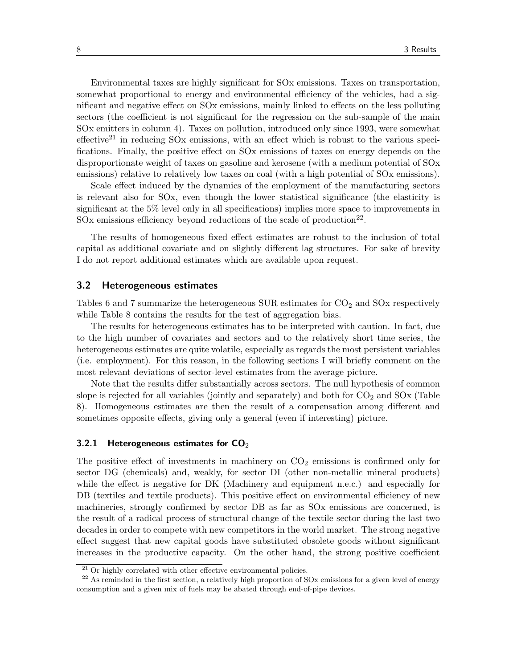Environmental taxes are highly significant for SOx emissions. Taxes on transportation, somewhat proportional to energy and environmental efficiency of the vehicles, had a significant and negative effect on SOx emissions, mainly linked to effects on the less polluting sectors (the coefficient is not significant for the regression on the sub-sample of the main SOx emitters in column 4). Taxes on pollution, introduced only since 1993, were somewhat effective<sup>21</sup> in reducing SO<sub>x</sub> emissions, with an effect which is robust to the various specifications. Finally, the positive effect on SOx emissions of taxes on energy depends on the disproportionate weight of taxes on gasoline and kerosene (with a medium potential of SOx emissions) relative to relatively low taxes on coal (with a high potential of SOx emissions).

Scale effect induced by the dynamics of the employment of the manufacturing sectors is relevant also for SOx, even though the lower statistical significance (the elasticity is significant at the 5% level only in all specifications) implies more space to improvements in SOx emissions efficiency beyond reductions of the scale of production<sup>22</sup>.

The results of homogeneous fixed effect estimates are robust to the inclusion of total capital as additional covariate and on slightly different lag structures. For sake of brevity I do not report additional estimates which are available upon request.

#### 3.2 Heterogeneous estimates

Tables 6 and 7 summarize the heterogeneous SUR estimates for  $CO<sub>2</sub>$  and SOx respectively while Table 8 contains the results for the test of aggregation bias.

The results for heterogeneous estimates has to be interpreted with caution. In fact, due to the high number of covariates and sectors and to the relatively short time series, the heterogeneous estimates are quite volatile, especially as regards the most persistent variables (i.e. employment). For this reason, in the following sections I will briefly comment on the most relevant deviations of sector-level estimates from the average picture.

Note that the results differ substantially across sectors. The null hypothesis of common slope is rejected for all variables (jointly and separately) and both for  $CO<sub>2</sub>$  and  $SOX$  (Table 8). Homogeneous estimates are then the result of a compensation among different and sometimes opposite effects, giving only a general (even if interesting) picture.

#### 3.2.1 Heterogeneous estimates for  $CO<sub>2</sub>$

The positive effect of investments in machinery on  $CO<sub>2</sub>$  emissions is confirmed only for sector DG (chemicals) and, weakly, for sector DI (other non-metallic mineral products) while the effect is negative for DK (Machinery and equipment n.e.c.) and especially for DB (textiles and textile products). This positive effect on environmental efficiency of new machineries, strongly confirmed by sector DB as far as SOx emissions are concerned, is the result of a radical process of structural change of the textile sector during the last two decades in order to compete with new competitors in the world market. The strong negative effect suggest that new capital goods have substituted obsolete goods without significant increases in the productive capacity. On the other hand, the strong positive coefficient

 $21$  Or highly correlated with other effective environmental policies.

<sup>&</sup>lt;sup>22</sup> As reminded in the first section, a relatively high proportion of SOx emissions for a given level of energy consumption and a given mix of fuels may be abated through end-of-pipe devices.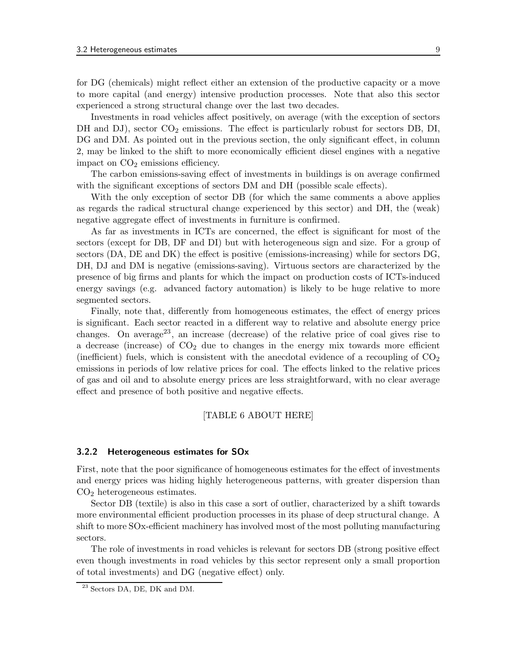for DG (chemicals) might reflect either an extension of the productive capacity or a move to more capital (and energy) intensive production processes. Note that also this sector experienced a strong structural change over the last two decades.

Investments in road vehicles affect positively, on average (with the exception of sectors DH and DJ), sector  $CO_2$  emissions. The effect is particularly robust for sectors DB, DI, DG and DM. As pointed out in the previous section, the only significant effect, in column 2, may be linked to the shift to more economically efficient diesel engines with a negative impact on  $CO<sub>2</sub>$  emissions efficiency.

The carbon emissions-saving effect of investments in buildings is on average confirmed with the significant exceptions of sectors DM and DH (possible scale effects).

With the only exception of sector DB (for which the same comments a above applies as regards the radical structural change experienced by this sector) and DH, the (weak) negative aggregate effect of investments in furniture is confirmed.

As far as investments in ICTs are concerned, the effect is significant for most of the sectors (except for DB, DF and DI) but with heterogeneous sign and size. For a group of sectors (DA, DE and DK) the effect is positive (emissions-increasing) while for sectors DG, DH, DJ and DM is negative (emissions-saving). Virtuous sectors are characterized by the presence of big firms and plants for which the impact on production costs of ICTs-induced energy savings (e.g. advanced factory automation) is likely to be huge relative to more segmented sectors.

Finally, note that, differently from homogeneous estimates, the effect of energy prices is significant. Each sector reacted in a different way to relative and absolute energy price changes. On average<sup>23</sup>, an increase (decrease) of the relative price of coal gives rise to a decrease (increase) of  $CO<sub>2</sub>$  due to changes in the energy mix towards more efficient (inefficient) fuels, which is consistent with the anecdotal evidence of a recoupling of  $CO<sub>2</sub>$ emissions in periods of low relative prices for coal. The effects linked to the relative prices of gas and oil and to absolute energy prices are less straightforward, with no clear average effect and presence of both positive and negative effects.

#### [TABLE 6 ABOUT HERE]

#### 3.2.2 Heterogeneous estimates for SOx

First, note that the poor significance of homogeneous estimates for the effect of investments and energy prices was hiding highly heterogeneous patterns, with greater dispersion than CO2 heterogeneous estimates.

Sector DB (textile) is also in this case a sort of outlier, characterized by a shift towards more environmental efficient production processes in its phase of deep structural change. A shift to more SOx-efficient machinery has involved most of the most polluting manufacturing sectors.

The role of investments in road vehicles is relevant for sectors DB (strong positive effect even though investments in road vehicles by this sector represent only a small proportion of total investments) and DG (negative effect) only.

<sup>23</sup> Sectors DA, DE, DK and DM.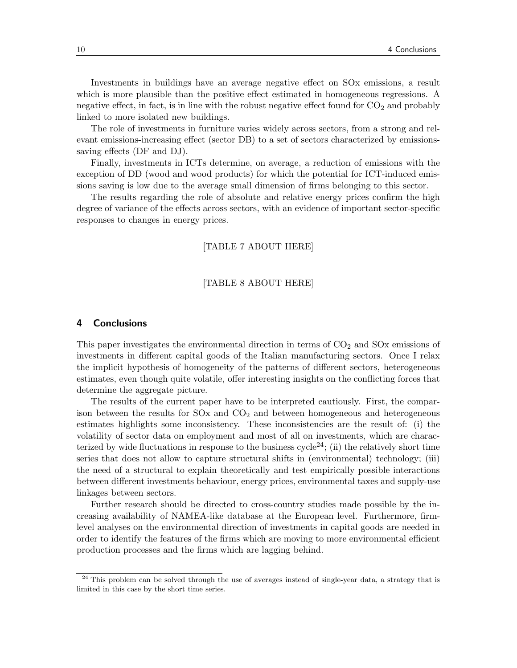Investments in buildings have an average negative effect on SOx emissions, a result which is more plausible than the positive effect estimated in homogeneous regressions. A negative effect, in fact, is in line with the robust negative effect found for  $CO<sub>2</sub>$  and probably linked to more isolated new buildings.

The role of investments in furniture varies widely across sectors, from a strong and relevant emissions-increasing effect (sector DB) to a set of sectors characterized by emissionssaving effects (DF and DJ).

Finally, investments in ICTs determine, on average, a reduction of emissions with the exception of DD (wood and wood products) for which the potential for ICT-induced emissions saving is low due to the average small dimension of firms belonging to this sector.

The results regarding the role of absolute and relative energy prices confirm the high degree of variance of the effects across sectors, with an evidence of important sector-specific responses to changes in energy prices.

#### [TABLE 7 ABOUT HERE]

#### [TABLE 8 ABOUT HERE]

#### 4 Conclusions

This paper investigates the environmental direction in terms of  $CO<sub>2</sub>$  and SOx emissions of investments in different capital goods of the Italian manufacturing sectors. Once I relax the implicit hypothesis of homogeneity of the patterns of different sectors, heterogeneous estimates, even though quite volatile, offer interesting insights on the conflicting forces that determine the aggregate picture.

The results of the current paper have to be interpreted cautiously. First, the comparison between the results for  $SOx$  and  $CO<sub>2</sub>$  and between homogeneous and heterogeneous estimates highlights some inconsistency. These inconsistencies are the result of: (i) the volatility of sector data on employment and most of all on investments, which are characterized by wide fluctuations in response to the business cycle<sup>24</sup>; (ii) the relatively short time series that does not allow to capture structural shifts in (environmental) technology; (iii) the need of a structural to explain theoretically and test empirically possible interactions between different investments behaviour, energy prices, environmental taxes and supply-use linkages between sectors.

Further research should be directed to cross-country studies made possible by the increasing availability of NAMEA-like database at the European level. Furthermore, firmlevel analyses on the environmental direction of investments in capital goods are needed in order to identify the features of the firms which are moving to more environmental efficient production processes and the firms which are lagging behind.

<sup>&</sup>lt;sup>24</sup> This problem can be solved through the use of averages instead of single-year data, a strategy that is limited in this case by the short time series.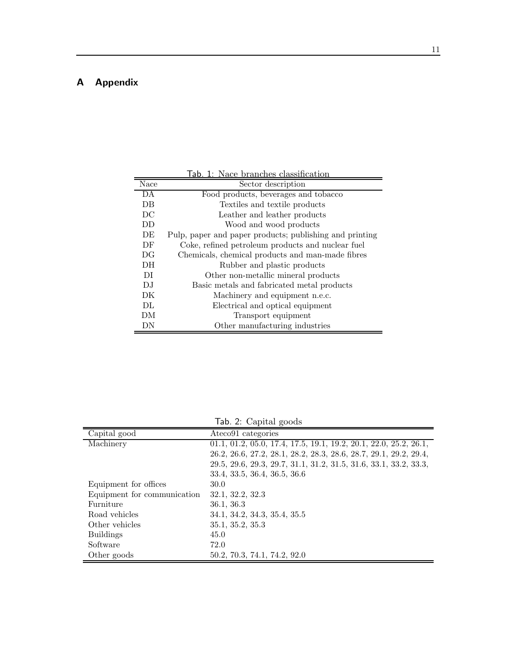### A Appendix

|      | Tab. 1: Nace branches classification                    |
|------|---------------------------------------------------------|
| Nace | Sector description                                      |
| DA   | Food products, beverages and tobacco                    |
| DB   | Textiles and textile products                           |
| DC   | Leather and leather products                            |
| DD   | Wood and wood products                                  |
| DE   | Pulp, paper and paper products; publishing and printing |
| DF   | Coke, refined petroleum products and nuclear fuel       |
| DG   | Chemicals, chemical products and man-made fibres        |
| DH.  | Rubber and plastic products                             |
| DI   | Other non-metallic mineral products                     |
| D.I  | Basic metals and fabricated metal products              |
| DK   | Machinery and equipment n.e.c.                          |
| DL   | Electrical and optical equipment                        |
| DМ   | Transport equipment                                     |
| DΝ   | Other manufacturing industries                          |

Tab. 2: Capital goods

| Capital good                | Ateco91 categories                                                  |
|-----------------------------|---------------------------------------------------------------------|
| Machinery                   | $01.1, 01.2, 05.0, 17.4, 17.5, 19.1, 19.2, 20.1, 22.0, 25.2, 26.1,$ |
|                             | 26.2, 26.6, 27.2, 28.1, 28.2, 28.3, 28.6, 28.7, 29.1, 29.2, 29.4,   |
|                             | 29.5, 29.6, 29.3, 29.7, 31.1, 31.2, 31.5, 31.6, 33.1, 33.2, 33.3,   |
|                             | 33.4, 33.5, 36.4, 36.5, 36.6                                        |
| Equipment for offices       | 30.0                                                                |
| Equipment for communication | 32.1, 32.2, 32.3                                                    |
| Furniture                   | 36.1, 36.3                                                          |
| Road vehicles               | 34.1, 34.2, 34.3, 35.4, 35.5                                        |
| Other vehicles              | 35.1, 35.2, 35.3                                                    |
| <b>Buildings</b>            | 45.0                                                                |
| Software                    | 72.0                                                                |
| Other goods                 | 50.2, 70.3, 74.1, 74.2, 92.0                                        |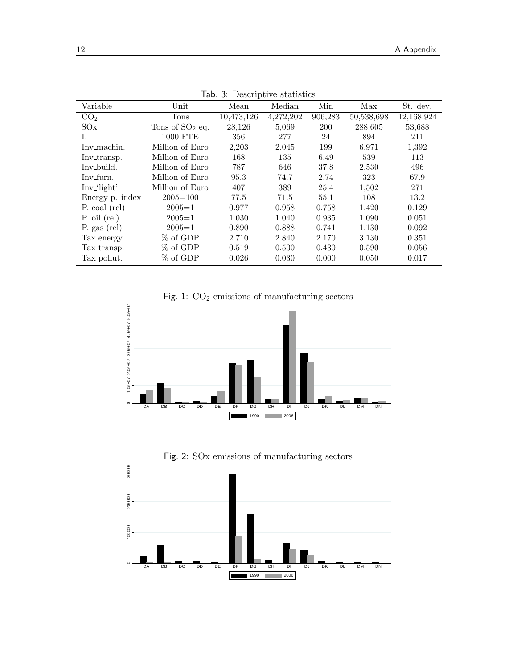| Variable        | Unit              | Mean       | Median    | Min     | Max        | St. dev.   |
|-----------------|-------------------|------------|-----------|---------|------------|------------|
| CO <sub>2</sub> | Tons              | 10,473,126 | 4,272,202 | 906,283 | 50,538,698 | 12,168,924 |
| SOx             | Tons of $SO2$ eq. | 28,126     | 5,069     | 200     | 288,605    | 53,688     |
| L               | 1000 FTE          | 356        | 277       | 24      | 894        | 211        |
| Inv_machin.     | Million of Euro   | 2,203      | 2,045     | 199     | 6,971      | 1,392      |
| Inv_transp.     | Million of Euro   | 168        | 135       | 6.49    | 539        | 113        |
| Inv_build.      | Million of Euro   | 787        | 646       | 37.8    | 2,530      | 496        |
| Inv_furn.       | Million of Euro   | 95.3       | 74.7      | 2.74    | 323        | 67.9       |
| Inv_'light'     | Million of Euro   | 407        | 389       | 25.4    | 1,502      | 271        |
| Energy p. index | $2005 = 100$      | 77.5       | 71.5      | 55.1    | 108        | 13.2       |
| P. coal (rel)   | $2005 = 1$        | 0.977      | 0.958     | 0.758   | 1.420      | 0.129      |
| P. oil (rel)    | $2005 = 1$        | 1.030      | 1.040     | 0.935   | 1.090      | 0.051      |
| P. gas (rel)    | $2005 = 1$        | 0.890      | 0.888     | 0.741   | 1.130      | 0.092      |
| Tax energy      | % of GDP          | 2.710      | 2.840     | 2.170   | 3.130      | 0.351      |
| Tax transp.     | % of GDP          | 0.519      | 0.500     | 0.430   | 0.590      | 0.056      |
| Tax pollut.     | $%$ of GDP        | 0.026      | 0.030     | 0.000   | 0.050      | 0.017      |

Tab. 3: Descriptive statistics

Fig. 1:  $CO<sub>2</sub>$  emissions of manufacturing sectors



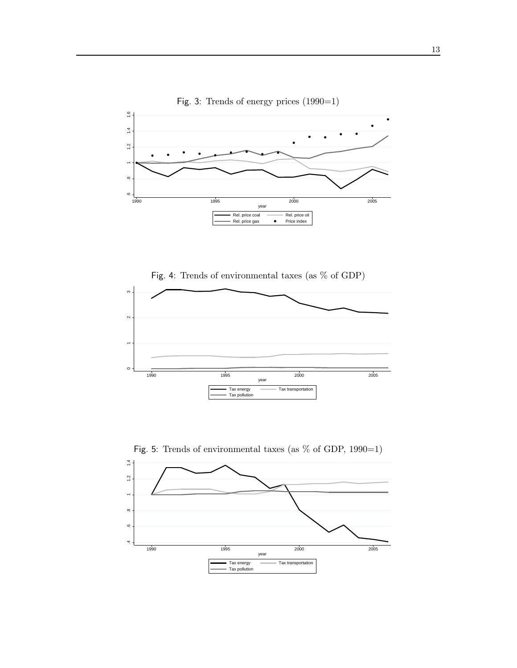

Fig. 3: Trends of energy prices (1990=1)

Fig. 4: Trends of environmental taxes (as % of GDP)





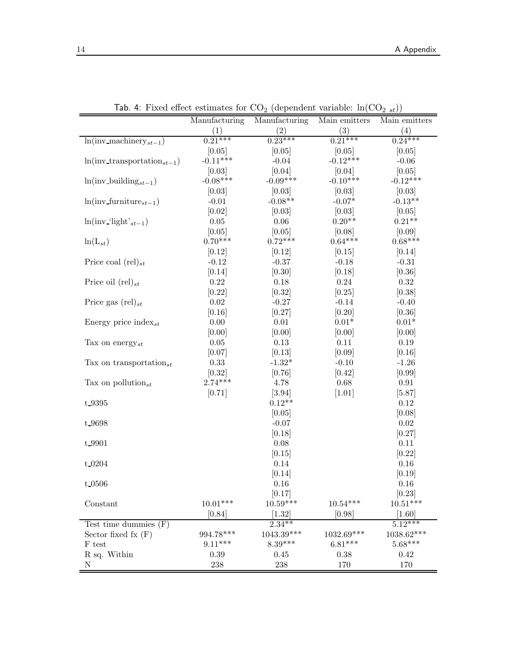|                                       | Manufacturing | Manufacturing      | Main emitters | Main emitters        |
|---------------------------------------|---------------|--------------------|---------------|----------------------|
|                                       | (1)           | (2)                | (3)           | (4)                  |
| $ln(i$ nv_machinery <sub>st-1</sub> ) | $0.21***$     | $0.23***$          | $0.21***$     | $0.24***$            |
|                                       | [0.05]        | [0.05]             | [0.05]        | [0.05]               |
| $ln(inv_{transportation_{st-1}})$     | $-0.11***$    | $-0.04$            | $-0.12***$    | $-0.06$              |
|                                       | [0.03]        | [0.04]             | [0.04]        | [0.05]               |
| $ln(inv_building_{st-1})$             | $-0.08***$    | $-0.09***$         | $-0.10***$    | $-0.12***$           |
|                                       | [0.03]        | [0.03]             | [0.03]        | [0.03]               |
| $ln(inv\_furniture_{st-1})$           | $-0.01$       | $-0.08**$          | $-0.07*$      | $-0.13**$            |
|                                       | [0.02]        | [0.03]             | [0.03]        | [0.05]               |
| $ln(inv$ -'light' <sub>st-1</sub> )   | $0.05\,$      | $0.06\,$           | $0.20**$      | $0.21**$             |
|                                       | [0.05]        | [0.05]             | [0.08]        | [0.09]               |
| $ln(L_{st})$                          | $0.70***$     | $0.72***$          | $0.64***$     | $0.68***$            |
|                                       | [0.12]        | [0.12]             | [0.15]        | [0.14]               |
| Price coal $(\text{rel})_{st}$        | $-0.12$       | $-0.37$            | $-0.18$       | $-0.31$              |
|                                       | [0.14]        | [0.30]             | [0.18]        | [0.36]               |
| Price oil $(\text{rel})_{st}$         | $0.22\,$      | 0.18               | 0.24          | 0.32                 |
|                                       | [0.22]        | [0.32]             | [0.25]        | [0.38]               |
| Price gas $(\text{rel})_{st}$         | $0.02\,$      | $-0.27$            | $-0.14$       | $-0.40$              |
|                                       | [0.16]        | [0.27]             | [0.20]        | [0.36]               |
| Energy price index <sub>st</sub>      | $0.00\,$      | $0.01\,$           | $0.01*$       | $0.01*$              |
|                                       | [0.00]        | [0.00]             | [0.00]        | [0.00]               |
| Tax on energy <sub>st</sub>           | $0.05\,$      | $0.13\,$           | 0.11          | 0.19                 |
|                                       | [0.07]        | [0.13]             | [0.09]        | [0.16]               |
| Tax on transportation <sub>st</sub>   | 0.33          | $-1.32*$           | $-0.10$       | $-1.26$              |
|                                       | [0.32]        | [0.76]             | [0.42]        | [0.99]               |
| Tax on pollution <sub>st</sub>        | $2.74***$     | 4.78               | 0.68          | 0.91                 |
|                                       | [0.71]        | $[3.94]$           | $[1.01]$      | [5.87]               |
| t 9395                                |               | $0.12**$           |               | 0.12                 |
|                                       |               | [0.05]             |               | [0.08]               |
| t 9698                                |               | $-0.07$            |               | $0.02\,$             |
|                                       |               | [0.18]             |               | [0.27]               |
| t 9901                                |               | 0.08               |               | 0.11                 |
|                                       |               | [0.15]             |               | [0.22]               |
| $t$ 0204                              |               | 0.14               |               | 0.16                 |
|                                       |               | [0.14]             |               | [0.19]               |
| t_0506                                |               | 0.16               |               | 0.16                 |
|                                       |               | $[0.17]$           |               | [0.23]               |
| Constant                              | $10.01***$    | $10.59***$         | $10.54***$    | $10.51***$           |
|                                       | [0.84]        | [1.32]             | [0.98]        | [1.60]               |
| Test time dummies $(F)$               |               | $2.34***$          |               | $5.\overline{12***}$ |
| Sector fixed fx $(F)$                 | 994.78***     | 1043.39***         | 1032.69***    | $1038.62***$         |
| F test                                | $9.11***$     | $8.39***$          | $6.81***$     | $5.68***$            |
| R sq. Within                          | 0.39          | 0.45               | 0.38          | 0.42                 |
| Ν                                     | $\,238$       | $\boldsymbol{238}$ | 170           | 170                  |

Tab. 4: Fixed effect estimates for  $CO_2$  (dependent variable:  $ln(CO_{2st})$ )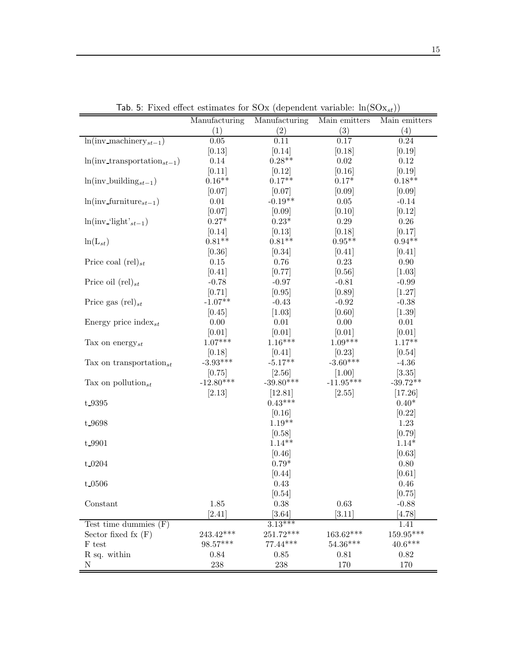|                                       | Manufacturing   | Manufacturing                  | Main emitters | Main emitters |
|---------------------------------------|-----------------|--------------------------------|---------------|---------------|
|                                       | (1)             | (2)                            | (3)           | (4)           |
| $ln(i$ ny_machinery <sub>st-1</sub> ) | 0.05            | 0.11                           | 0.17          | 0.24          |
|                                       | [0.13]          | [0.14]                         | [0.18]        | [0.19]        |
| $ln(inv_{transportation_{st-1}})$     | 0.14            | $0.28**$                       | $0.02\,$      | 0.12          |
|                                       | [0.11]          | [0.12]                         | [0.16]        | [0.19]        |
| $ln(inv_building_{st-1})$             | $0.16**$        | $0.17**$                       | $0.17*$       | $0.18**$      |
|                                       | [0.07]          | [0.07]                         | [0.09]        | $[0.09]$      |
| $ln(inv\_furniture_{st-1})$           | $0.01\,$        | $-0.19**$                      | $0.05\,$      | $-0.14$       |
|                                       | [0.07]          | [0.09]                         | [0.10]        | [0.12]        |
| $ln(inv$ -'light' <sub>st-1</sub> )   | $0.27*$         | $0.23*$                        | $0.29\,$      | 0.26          |
|                                       | [0.14]          | [0.13]                         | [0.18]        | [0.17]        |
| $ln(L_{st})$                          | $0.81**$        | $0.81**$                       | $0.95**$      | $0.94**$      |
|                                       | [0.36]          | [0.34]                         | [0.41]        | [0.41]        |
| Price coal $(\text{rel})_{st}$        | $0.15\,$        | 0.76                           | 0.23          | $0.90\,$      |
|                                       | [0.41]          | [0.77]                         | [0.56]        | [1.03]        |
| Price oil $(\text{rel})_{st}$         | $-0.78$         | $-0.97$                        | $-0.81$       | $-0.99$       |
|                                       | [0.71]          | [0.95]                         | [0.89]        | [1.27]        |
| Price gas $(\text{rel})_{st}$         | $-1.07**$       | $-0.43$                        | $-0.92$       | $-0.38$       |
|                                       | [0.45]          | [1.03]                         | [0.60]        | $[1.39]$      |
| Energy price index <sub>st</sub>      | $0.00\,$        | $0.01\,$                       | $0.00\,$      | $0.01\,$      |
|                                       | [0.01]          | [0.01]                         | [0.01]        | [0.01]        |
| Tax on energy <sub>st</sub>           | $1.07***$       | $1.16***$                      | $1.09***$     | $1.17**$      |
|                                       | [0.18]          | [0.41]                         | [0.23]        | [0.54]        |
| Tax on transportation <sub>st</sub>   | $-3.93***$      | $-5.17**$                      | $-3.60***$    | $-4.36$       |
|                                       | [0.75]          | [2.56]                         | $[1.00]$      | [3.35]        |
| Tax on pollution <sub>st</sub>        | $-12.80***$     | $-39.80***$                    | $-11.95***$   | $-39.72**$    |
|                                       | [2.13]          | [12.81]                        | [2.55]        | [17.26]       |
| t_9395                                |                 | $0.43***$                      |               | $0.40*$       |
|                                       |                 | [0.16]                         |               | [0.22]        |
| t 9698                                |                 | $1.19**$                       |               | 1.23          |
|                                       |                 | [0.58]                         |               | [0.79]        |
| t_9901                                |                 | $1.14**$                       |               | $1.14*$       |
|                                       |                 | [0.46]                         |               | [0.63]        |
| t_0204                                |                 | $0.79*$                        |               | $0.80\,$      |
|                                       |                 | [0.44]                         |               | [0.61]        |
| t 0506                                |                 | 0.43                           |               | 0.46          |
|                                       |                 | [0.54]                         |               | [0.75]        |
| Constant                              | 1.85            | $0.38\,$                       | 0.63          | $-0.88$       |
|                                       | [2.41]          | [3.64]                         | [3.11]        | [4.78]        |
| Test time dummies $(F)$               |                 | $3.13***$                      |               | 1.41          |
| Sector fixed fx $(F)$                 | 243.42***       | 251.72***                      | 163.62***     | 159.95***     |
| F test                                | 98.57***        | 77.44***                       | $54.36***$    | $40.6***$     |
|                                       |                 |                                |               |               |
|                                       |                 |                                |               |               |
| R sq. within<br>${\rm N}$             | 0.84<br>$238\,$ | $0.85\,$<br>$\boldsymbol{238}$ | 0.81<br>170   | 0.82<br>170   |

Tab. 5: Fixed effect estimates for  $SOx$  (dependent variable:  $\ln(SOx_{st})$ )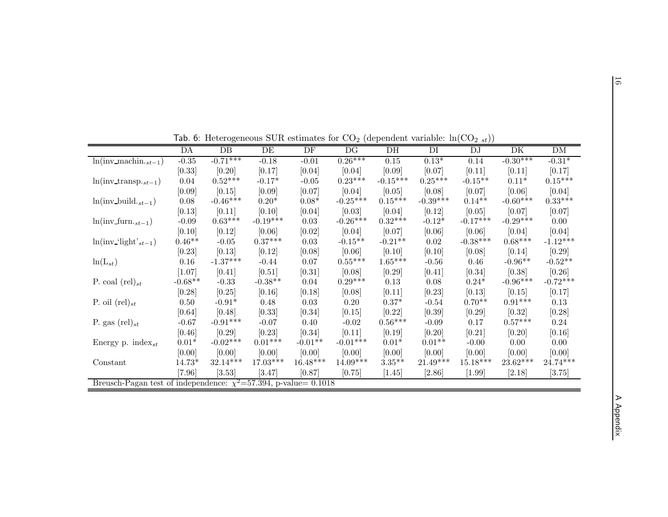|                                                                       |           |                 |            |            | $\sim$ $\sim$         |                 |            | $\overline{a}$ $\overline{o}$ $\overline{v}$ / $\overline{y}$ |                     |                       |
|-----------------------------------------------------------------------|-----------|-----------------|------------|------------|-----------------------|-----------------|------------|---------------------------------------------------------------|---------------------|-----------------------|
|                                                                       | DA        | $\overline{DB}$ | DE         | DF         | DG                    | $\overline{DH}$ | DI         | DJ                                                            | $\overline{\rm DK}$ | DM                    |
| $\ln(\text{inv\_machine}._{st-1})$                                    | $-0.35$   | $-0.71***$      | $-0.18$    | $-0.01$    | $0.26***$             | $0.15\,$        | $0.13*$    | $0.14\,$                                                      | $-0.30***$          | $-0.31*$              |
|                                                                       | [0.33]    | [0.20]          | [0.17]     | [0.04]     | [0.04]                | [0.09]          | [0.07]     | [0.11]                                                        | [0.11]              | [0.17]                |
| $ln(inv_{\text{ }}transp_{\cdot st-1})$                               | 0.04      | $0.52***$       | $-0.17*$   | $-0.05$    | $0.23***$             | $-0.15***$      | $0.25***$  | $-0.15**$                                                     | $0.11*$             | $0.15^{\ast\ast\ast}$ |
|                                                                       | [0.09]    | [0.15]          | [0.09]     | [0.07]     | [0.04]                | [0.05]          | [0.08]     | [0.07]                                                        | [0.06]              | [0.04]                |
| $ln(imv_build._{st-1})$                                               | 0.08      | $-0.46***$      | $0.20*$    | $0.08*$    | $-0.25***$            | $0.15***$       | $-0.39***$ | $0.14**$                                                      | $-0.60***$          | $0.33^{***}\,$        |
|                                                                       | [0.13]    | [0.11]          | [0.10]     | [0.04]     | [0.03]                | [0.04]          | [0.12]     | [0.05]                                                        | [0.07]              | [0.07]                |
| $ln(imv_{str-1})$                                                     | $-0.09$   | $0.63***$       | $-0.19***$ | 0.03       | $-0.26***$            | $0.32***$       | $-0.12*$   | $-0.17***$                                                    | $-0.29***$          | 0.00                  |
|                                                                       | [0.10]    | [0.12]          | [0.06]     | [0.02]     | [0.04]                | [0.07]          | [0.06]     | [0.06]                                                        | [0.04]              | [0.04]                |
| $ln(inv$ -'light' <sub>st-1</sub> )                                   | $0.46**$  | $-0.05$         | $0.37***$  | 0.03       | $-0.15**$             | $-0.21**$       | 0.02       | $-0.38***$                                                    | $0.68***$           | $-1.12***$            |
|                                                                       | $[0.23]$  | [0.13]          | [0.12]     | [0.08]     | [0.06]                | [0.10]          | [0.10]     | [0.08]                                                        | [0.14]              | [0.29]                |
| $\ln(L_{st})$                                                         | 0.16      | $-1.37***$      | $-0.44$    | 0.07       | $0.55^{\ast\ast\ast}$ | $1.65***$       | $-0.56$    | 0.46                                                          | $-0.96**$           | $-0.52**$             |
|                                                                       | [1.07]    | [0.41]          | [0.51]     | [0.31]     | [0.08]                | [0.29]          | [0.41]     | [0.34]                                                        | [0.38]              | [0.26]                |
| P. coal $(\text{rel})_{st}$                                           | $-0.68**$ | $-0.33$         | $-0.38**$  | 0.04       | $0.29***$             | 0.13            | 0.08       | $0.24*$                                                       | $-0.96***$          | $-0.72***$            |
|                                                                       | [0.28]    | [0.25]          | [0.16]     | [0.18]     | [0.08]                | [0.11]          | [0.23]     | [0.13]                                                        | [0.15]              | [0.17]                |
| P. oil $(\text{rel})_{st}$                                            | $0.50\,$  | $-0.91*$        | 0.48       | 0.03       | 0.20                  | $0.37*$         | $-0.54$    | $0.70**$                                                      | $0.91***$           | $0.13\,$              |
|                                                                       | [0.64]    | [0.48]          | [0.33]     | [0.34]     | [0.15]                | [0.22]          | [0.39]     | [0.29]                                                        | [0.32]              | [0.28]                |
| P. gas $(\text{rel})_{st}$                                            | $-0.67$   | $-0.91***$      | $-0.07$    | 0.40       | $-0.02$               | $0.56***$       | $-0.09$    | 0.17                                                          | $0.57***$           | 0.24                  |
|                                                                       | [0.46]    | [0.29]          | [0.23]     | [0.34]     | [0.11]                | [0.19]          | $[0.20]$   | [0.21]                                                        | [0.20]              | [0.16]                |
| Energy p. $index_{st}$                                                | $0.01*$   | $-0.02***$      | $0.01***$  | $-0.01**$  | $-0.01***$            | $0.01*$         | $0.01**$   | $-0.00$                                                       | 0.00                | 0.00                  |
|                                                                       | [0.00]    | [0.00]          | [0.00]     | [0.00]     | [0.00]                | [0.00]          | [0.00]     | [0.00]                                                        | [0.00]              | [0.00]                |
| Constant                                                              | $14.73*$  | $32.14***$      | $17.03***$ | $16.48***$ | $14.09***$            | $3.35***$       | $21.49***$ | $15.18***$                                                    | 23.62***            | 24.74***              |
|                                                                       | [7.96]    | [3.53]          | $[3.47]$   | [0.87]     | [0.75]                | [1.45]          | [2.86]     | $[1.99]$                                                      | [2.18]              | [3.75]                |
| Breusch-Pagan test of independence: $\chi^2$ =57.394, p-value= 0.1018 |           |                 |            |            |                       |                 |            |                                                               |                     |                       |

Tab. 6: Heterogeneous SUR estimates for  $CO_2$  (dependent variable:  $ln(CO_{2 st})$ )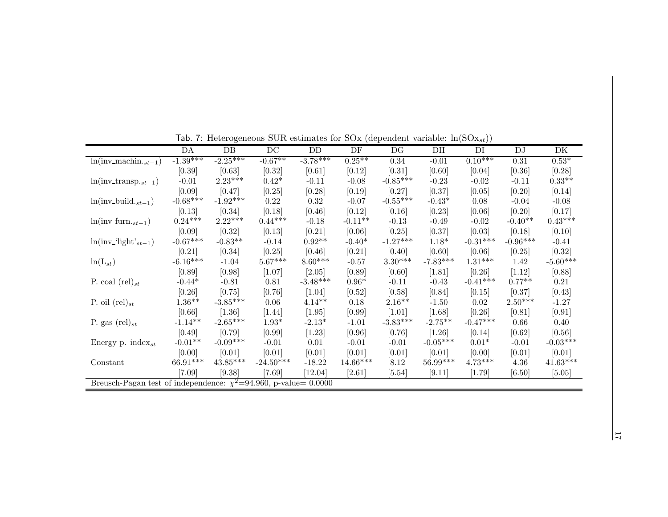| DH<br>$-1.39***$<br>$-2.25***$<br>$-0.67**$<br>$-3.78***$<br>$0.10***$<br>$0.25***$<br>$0.53*$<br>$\overline{\ln(\text{inv\_machin.}_{st-1})}$<br>$0.34\,$<br>$-0.01$<br>$\rm 0.31$<br>[0.39]<br>[0.61]<br>[0.63]<br>$[0.32]$<br>[0.12]<br>[0.31]<br>[0.60]<br>[0.04]<br>[0.36]<br>[0.28]<br>$2.23***$<br>$-0.85***$<br>$0.42*$<br>$0.33**$<br>$-0.01$<br>$-0.11$<br>$-0.08$<br>$-0.23$<br>$-0.02$<br>$-0.11$<br>$ln(inv\_transpose_{st-1})$<br>[0.09]<br>[0.47]<br>[0.25]<br>[0.28]<br>[0.19]<br>[0.27]<br>[0.37]<br>[0.20]<br>[0.14]<br>[0.05]<br>$-0.68***$<br>$-1.92***$<br>$-0.55***$<br>$-0.43*$<br>$ln(inv_build._{st-1})$<br>0.22<br>0.32<br>$-0.07$<br>0.08<br>$-0.04$<br>$-0.08$<br>[0.13]<br>[0.34]<br>[0.16]<br>[0.18]<br>[0.46]<br>[0.12]<br>$[0.23]$<br>[0.06]<br>[0.20]<br>[0.17]<br>$2.22***$<br>$0.24***$<br>$0.44***$<br>$0.43***$<br>$-0.11**$<br>$-0.40**$<br>$-0.02$<br>$ln(imv_{str-1})$<br>$-0.18$<br>$-0.13$<br>$-0.49$<br>[0.09]<br>[0.32]<br>[0.13]<br>[0.21]<br>[0.06]<br>[0.25]<br>[0.37]<br>[0.18]<br>[0.10]<br>[0.03]<br>$-0.67***$<br>$-1.27***$<br>$-0.96***$<br>$-0.83**$<br>$0.92**$<br>$-0.31***$<br>$ln(inv$ -'light' <sub>st-1</sub> )<br>$-0.40*$<br>$1.18*$<br>$-0.41$<br>$-0.14$<br>[0.21]<br>[0.34]<br>[0.46]<br>[0.21]<br>[0.40]<br>[0.60]<br>[0.25]<br>[0.06]<br>[0.25]<br>[0.32]<br>$-6.16***$<br>$-7.83***$<br>$5.67***$<br>$8.60***$<br>$3.30***$<br>$1.31***$<br>$ln(L_{st})$<br>1.42<br>$-1.04$<br>$-0.57$<br>[0.60]<br>[0.89]<br>[2.05]<br>[0.89]<br>$[1.81]$<br>[0.26]<br>[1.12]<br>[0.98]<br>$[1.07]$<br>[0.88]<br>$-3.48***$<br>$-0.41***$<br>$0.77**$<br>$0.96*$<br>P. coal $(\text{rel})_{st}$<br>$-0.44*$<br>$-0.43$<br>$-0.81$<br>0.81<br>$-0.11$<br>0.21 |    |                 | <b>100.</b> T. Here regenerate both estimates for box (dependent variable. $m(\text{box}_{st})$ ) |    |    |    |                     |                 |            |
|-------------------------------------------------------------------------------------------------------------------------------------------------------------------------------------------------------------------------------------------------------------------------------------------------------------------------------------------------------------------------------------------------------------------------------------------------------------------------------------------------------------------------------------------------------------------------------------------------------------------------------------------------------------------------------------------------------------------------------------------------------------------------------------------------------------------------------------------------------------------------------------------------------------------------------------------------------------------------------------------------------------------------------------------------------------------------------------------------------------------------------------------------------------------------------------------------------------------------------------------------------------------------------------------------------------------------------------------------------------------------------------------------------------------------------------------------------------------------------------------------------------------------------------------------------------------------------------------------------------------------------------------------------------------------------------------------------------------|----|-----------------|---------------------------------------------------------------------------------------------------|----|----|----|---------------------|-----------------|------------|
|                                                                                                                                                                                                                                                                                                                                                                                                                                                                                                                                                                                                                                                                                                                                                                                                                                                                                                                                                                                                                                                                                                                                                                                                                                                                                                                                                                                                                                                                                                                                                                                                                                                                                                                   | DA | $\overline{DB}$ | $\overline{DC}$                                                                                   | DD | DF | DG | $\overline{\rm DI}$ | $\overline{DJ}$ | DK         |
|                                                                                                                                                                                                                                                                                                                                                                                                                                                                                                                                                                                                                                                                                                                                                                                                                                                                                                                                                                                                                                                                                                                                                                                                                                                                                                                                                                                                                                                                                                                                                                                                                                                                                                                   |    |                 |                                                                                                   |    |    |    |                     |                 |            |
|                                                                                                                                                                                                                                                                                                                                                                                                                                                                                                                                                                                                                                                                                                                                                                                                                                                                                                                                                                                                                                                                                                                                                                                                                                                                                                                                                                                                                                                                                                                                                                                                                                                                                                                   |    |                 |                                                                                                   |    |    |    |                     |                 |            |
|                                                                                                                                                                                                                                                                                                                                                                                                                                                                                                                                                                                                                                                                                                                                                                                                                                                                                                                                                                                                                                                                                                                                                                                                                                                                                                                                                                                                                                                                                                                                                                                                                                                                                                                   |    |                 |                                                                                                   |    |    |    |                     |                 |            |
|                                                                                                                                                                                                                                                                                                                                                                                                                                                                                                                                                                                                                                                                                                                                                                                                                                                                                                                                                                                                                                                                                                                                                                                                                                                                                                                                                                                                                                                                                                                                                                                                                                                                                                                   |    |                 |                                                                                                   |    |    |    |                     |                 |            |
|                                                                                                                                                                                                                                                                                                                                                                                                                                                                                                                                                                                                                                                                                                                                                                                                                                                                                                                                                                                                                                                                                                                                                                                                                                                                                                                                                                                                                                                                                                                                                                                                                                                                                                                   |    |                 |                                                                                                   |    |    |    |                     |                 |            |
|                                                                                                                                                                                                                                                                                                                                                                                                                                                                                                                                                                                                                                                                                                                                                                                                                                                                                                                                                                                                                                                                                                                                                                                                                                                                                                                                                                                                                                                                                                                                                                                                                                                                                                                   |    |                 |                                                                                                   |    |    |    |                     |                 |            |
|                                                                                                                                                                                                                                                                                                                                                                                                                                                                                                                                                                                                                                                                                                                                                                                                                                                                                                                                                                                                                                                                                                                                                                                                                                                                                                                                                                                                                                                                                                                                                                                                                                                                                                                   |    |                 |                                                                                                   |    |    |    |                     |                 |            |
|                                                                                                                                                                                                                                                                                                                                                                                                                                                                                                                                                                                                                                                                                                                                                                                                                                                                                                                                                                                                                                                                                                                                                                                                                                                                                                                                                                                                                                                                                                                                                                                                                                                                                                                   |    |                 |                                                                                                   |    |    |    |                     |                 |            |
|                                                                                                                                                                                                                                                                                                                                                                                                                                                                                                                                                                                                                                                                                                                                                                                                                                                                                                                                                                                                                                                                                                                                                                                                                                                                                                                                                                                                                                                                                                                                                                                                                                                                                                                   |    |                 |                                                                                                   |    |    |    |                     |                 |            |
|                                                                                                                                                                                                                                                                                                                                                                                                                                                                                                                                                                                                                                                                                                                                                                                                                                                                                                                                                                                                                                                                                                                                                                                                                                                                                                                                                                                                                                                                                                                                                                                                                                                                                                                   |    |                 |                                                                                                   |    |    |    |                     |                 |            |
|                                                                                                                                                                                                                                                                                                                                                                                                                                                                                                                                                                                                                                                                                                                                                                                                                                                                                                                                                                                                                                                                                                                                                                                                                                                                                                                                                                                                                                                                                                                                                                                                                                                                                                                   |    |                 |                                                                                                   |    |    |    |                     |                 | $-5.60***$ |
|                                                                                                                                                                                                                                                                                                                                                                                                                                                                                                                                                                                                                                                                                                                                                                                                                                                                                                                                                                                                                                                                                                                                                                                                                                                                                                                                                                                                                                                                                                                                                                                                                                                                                                                   |    |                 |                                                                                                   |    |    |    |                     |                 |            |
|                                                                                                                                                                                                                                                                                                                                                                                                                                                                                                                                                                                                                                                                                                                                                                                                                                                                                                                                                                                                                                                                                                                                                                                                                                                                                                                                                                                                                                                                                                                                                                                                                                                                                                                   |    |                 |                                                                                                   |    |    |    |                     |                 |            |
| [0.26]<br>[1.04]<br>[0.58]<br>[0.84]<br>[0.15]<br>[0.37]<br>[0.43]<br>[0.75]<br>[0.76]<br>[0.52]                                                                                                                                                                                                                                                                                                                                                                                                                                                                                                                                                                                                                                                                                                                                                                                                                                                                                                                                                                                                                                                                                                                                                                                                                                                                                                                                                                                                                                                                                                                                                                                                                  |    |                 |                                                                                                   |    |    |    |                     |                 |            |
| $1.36**$<br>$-3.85***$<br>$2.50***$<br>$4.14**$<br>$2.16**$<br>P. oil $(\text{rel})_{st}$<br>0.18<br>$-1.50$<br>0.02<br>0.06<br>$-1.27$                                                                                                                                                                                                                                                                                                                                                                                                                                                                                                                                                                                                                                                                                                                                                                                                                                                                                                                                                                                                                                                                                                                                                                                                                                                                                                                                                                                                                                                                                                                                                                           |    |                 |                                                                                                   |    |    |    |                     |                 |            |
| [0.66]<br>[1.36]<br>[1.95]<br>$[0.99]$<br>$[1.44]$<br>$[1.01]$<br>[1.68]<br>[0.26]<br>[0.81]<br>[0.91]                                                                                                                                                                                                                                                                                                                                                                                                                                                                                                                                                                                                                                                                                                                                                                                                                                                                                                                                                                                                                                                                                                                                                                                                                                                                                                                                                                                                                                                                                                                                                                                                            |    |                 |                                                                                                   |    |    |    |                     |                 |            |
| $-1.14**$<br>$-2.65***$<br>$-3.83***$<br>$-2.75**$<br>$-0.47***$<br>$-2.13*$<br>$1.93*$<br>$-1.01$<br>0.66<br>0.40<br>P. gas $(\text{rel})_{st}$                                                                                                                                                                                                                                                                                                                                                                                                                                                                                                                                                                                                                                                                                                                                                                                                                                                                                                                                                                                                                                                                                                                                                                                                                                                                                                                                                                                                                                                                                                                                                                  |    |                 |                                                                                                   |    |    |    |                     |                 |            |
| [0.49]<br>[0.79]<br>[0.96]<br>[0.76]<br>[0.14]<br>[0.99]<br>$[1.23]$<br>$[1.26]$<br>[0.62]<br>[0.56]                                                                                                                                                                                                                                                                                                                                                                                                                                                                                                                                                                                                                                                                                                                                                                                                                                                                                                                                                                                                                                                                                                                                                                                                                                                                                                                                                                                                                                                                                                                                                                                                              |    |                 |                                                                                                   |    |    |    |                     |                 |            |
| $-0.09***$<br>$-0.01**$<br>$-0.05***$<br>$0.01*$<br>$-0.01$<br>0.01<br>$-0.01$<br>$-0.01$<br>$-0.01$<br>Energy p. $index_{st}$                                                                                                                                                                                                                                                                                                                                                                                                                                                                                                                                                                                                                                                                                                                                                                                                                                                                                                                                                                                                                                                                                                                                                                                                                                                                                                                                                                                                                                                                                                                                                                                    |    |                 |                                                                                                   |    |    |    |                     |                 | $-0.03***$ |
| [0.00]<br>[0.01]<br>[0.01]<br>[0.01]<br>[0.01]<br>[0.01]<br>[0.00]<br>[0.01]<br>[0.01]<br>[0.01]                                                                                                                                                                                                                                                                                                                                                                                                                                                                                                                                                                                                                                                                                                                                                                                                                                                                                                                                                                                                                                                                                                                                                                                                                                                                                                                                                                                                                                                                                                                                                                                                                  |    |                 |                                                                                                   |    |    |    |                     |                 |            |
| $66.91***$<br>$43.85^{\ast\ast\ast}$<br>$56.99***$<br>$4.73***$<br>$-24.50***$<br>14.66***<br>$-18.22$<br>8.12<br>4.36<br>Constant                                                                                                                                                                                                                                                                                                                                                                                                                                                                                                                                                                                                                                                                                                                                                                                                                                                                                                                                                                                                                                                                                                                                                                                                                                                                                                                                                                                                                                                                                                                                                                                |    |                 |                                                                                                   |    |    |    |                     |                 | $41.63***$ |
| $[7.09]$<br>[9.38]<br>[9.11]<br>[7.69]<br>[12.04]<br>[2.61]<br>$[5.54]$<br>[1.79]<br>[6.50]<br>[5.05]                                                                                                                                                                                                                                                                                                                                                                                                                                                                                                                                                                                                                                                                                                                                                                                                                                                                                                                                                                                                                                                                                                                                                                                                                                                                                                                                                                                                                                                                                                                                                                                                             |    |                 |                                                                                                   |    |    |    |                     |                 |            |
| Breusch-Pagan test of independence: $\chi^2$ =94.960, p-value= 0.0000                                                                                                                                                                                                                                                                                                                                                                                                                                                                                                                                                                                                                                                                                                                                                                                                                                                                                                                                                                                                                                                                                                                                                                                                                                                                                                                                                                                                                                                                                                                                                                                                                                             |    |                 |                                                                                                   |    |    |    |                     |                 |            |

Tab. 7: Heterogeneous SUR estimates for SOx (dependent variable:  $ln(SOx_{st})$ )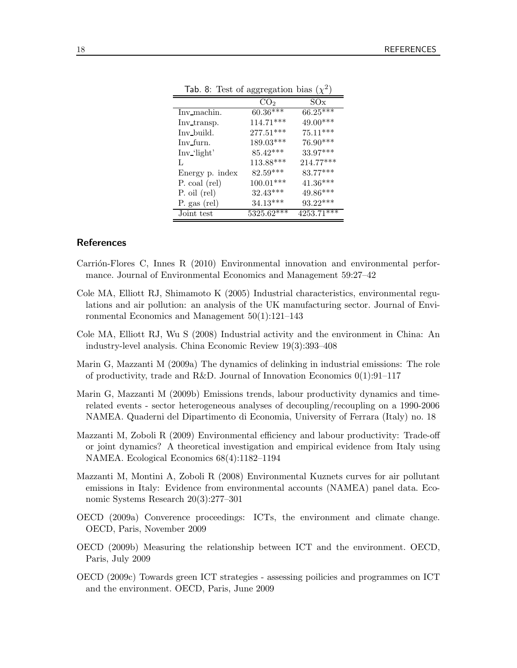| $\alpha$ , o. Test of aggregation blas $\chi$ |                 |              |
|-----------------------------------------------|-----------------|--------------|
|                                               | CO <sub>2</sub> | SOx          |
| Inv machin.                                   | $60.36***$      | $66.25***$   |
| Inv transp.                                   | $114.71***$     | 49.00***     |
| Inv build.                                    | $277.51***$     | $75.11***$   |
| Inv_furn.                                     | $189.03***$     | $76.90***$   |
| Inv_'light'                                   | $85.42***$      | 33.97***     |
| L                                             | $113.88***$     | $214.77***$  |
| Energy p. index                               | $82.59***$      | 83.77***     |
| P. coal (rel)                                 | $100.01***$     | $41.36***$   |
| $P.$ oil $(\text{rel})$                       | $32.43***$      | $49.86***$   |
| P. gas (rel)                                  | $34.13***$      | $93.22***$   |
| Joint test                                    | $5325.62***$    | $4253.71***$ |

Tab. 8: Test of aggregation bias  $(\chi^2)$ 

#### References

- Carrión-Flores C, Innes R (2010) Environmental innovation and environmental performance. Journal of Environmental Economics and Management 59:27–42
- Cole MA, Elliott RJ, Shimamoto K (2005) Industrial characteristics, environmental regulations and air pollution: an analysis of the UK manufacturing sector. Journal of Environmental Economics and Management 50(1):121–143
- Cole MA, Elliott RJ, Wu S (2008) Industrial activity and the environment in China: An industry-level analysis. China Economic Review 19(3):393–408
- Marin G, Mazzanti M (2009a) The dynamics of delinking in industrial emissions: The role of productivity, trade and R&D. Journal of Innovation Economics  $0(1):91-117$
- Marin G, Mazzanti M (2009b) Emissions trends, labour productivity dynamics and timerelated events - sector heterogeneous analyses of decoupling/recoupling on a 1990-2006 NAMEA. Quaderni del Dipartimento di Economia, University of Ferrara (Italy) no. 18
- Mazzanti M, Zoboli R (2009) Environmental efficiency and labour productivity: Trade-off or joint dynamics? A theoretical investigation and empirical evidence from Italy using NAMEA. Ecological Economics 68(4):1182–1194
- Mazzanti M, Montini A, Zoboli R (2008) Environmental Kuznets curves for air pollutant emissions in Italy: Evidence from environmental accounts (NAMEA) panel data. Economic Systems Research 20(3):277–301
- OECD (2009a) Converence proceedings: ICTs, the environment and climate change. OECD, Paris, November 2009
- OECD (2009b) Measuring the relationship between ICT and the environment. OECD, Paris, July 2009
- OECD (2009c) Towards green ICT strategies assessing poilicies and programmes on ICT and the environment. OECD, Paris, June 2009